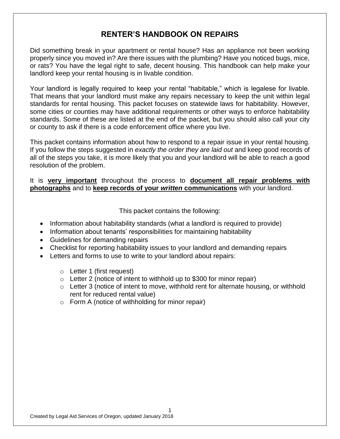## **RENTER'S HANDBOOK ON REPAIRS**

Did something break in your apartment or rental house? Has an appliance not been working properly since you moved in? Are there issues with the plumbing? Have you noticed bugs, mice, or rats? You have the legal right to safe, decent housing. This handbook can help make your landlord keep your rental housing is in livable condition.

Your landlord is legally required to keep your rental "habitable," which is legalese for livable. That means that your landlord must make any repairs necessary to keep the unit within legal standards for rental housing. This packet focuses on statewide laws for habitability. However, some cities or counties may have additional requirements or other ways to enforce habitability standards. Some of these are listed at the end of the packet, but you should also call your city or county to ask if there is a code enforcement office where you live.

This packet contains information about how to respond to a repair issue in your rental housing. If you follow the steps suggested in *exactly the order they are laid out* and keep good records of all of the steps you take, it is more likely that you and your landlord will be able to reach a good resolution of the problem.

#### It is **very important** throughout the process to **document all repair problems with photographs** and to **keep records of your** *written* **communications** with your landlord.

This packet contains the following:

- Information about habitability standards (what a landlord is required to provide)
- Information about tenants' responsibilities for maintaining habitability
- Guidelines for demanding repairs
- Checklist for reporting habitability issues to your landlord and demanding repairs
- Letters and forms to use to write to your landlord about repairs:
	- o Letter 1 (first request)
	- $\circ$  Letter 2 (notice of intent to withhold up to \$300 for minor repair)
	- o Letter 3 (notice of intent to move, withhold rent for alternate housing, or withhold rent for reduced rental value)
	- $\circ$  Form A (notice of withholding for minor repair)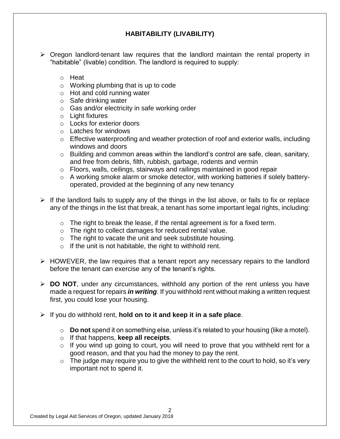### **HABITABILITY (LIVABILITY)**

- $\triangleright$  Oregon landlord-tenant law requires that the landlord maintain the rental property in "habitable" (livable) condition. The landlord is required to supply:
	- o Heat
	- o Working plumbing that is up to code
	- o Hot and cold running water
	- o Safe drinking water
	- o Gas and/or electricity in safe working order
	- o Light fixtures
	- o Locks for exterior doors
	- o Latches for windows
	- $\circ$  Effective waterproofing and weather protection of roof and exterior walls, including windows and doors
	- $\circ$  Building and common areas within the landlord's control are safe, clean, sanitary, and free from debris, filth, rubbish, garbage, rodents and vermin
	- o Floors, walls, ceilings, stairways and railings maintained in good repair
	- o A working smoke alarm or smoke detector, with working batteries if solely batteryoperated, provided at the beginning of any new tenancy
- $\triangleright$  If the landlord fails to supply any of the things in the list above, or fails to fix or replace any of the things in the list that break, a tenant has some important legal rights, including:
	- $\circ$  The right to break the lease, if the rental agreement is for a fixed term.
	- o The right to collect damages for reduced rental value.
	- o The right to vacate the unit and seek substitute housing.
	- $\circ$  If the unit is not habitable, the right to withhold rent.
- $\triangleright$  HOWEVER, the law requires that a tenant report any necessary repairs to the landlord before the tenant can exercise any of the tenant's rights.
- **► DO NOT**, under any circumstances, withhold any portion of the rent unless you have made a request for repairs *in writing*. If you withhold rent without making a written request first, you could lose your housing.
- If you do withhold rent, **hold on to it and keep it in a safe place**.
	- o **Do not** spend it on something else, unless it's related to your housing (like a motel).
	- o If that happens, **keep all receipts**.
	- o If you wind up going to court, you will need to prove that you withheld rent for a good reason, and that you had the money to pay the rent.
	- $\circ$  The judge may require you to give the withheld rent to the court to hold, so it's very important not to spend it.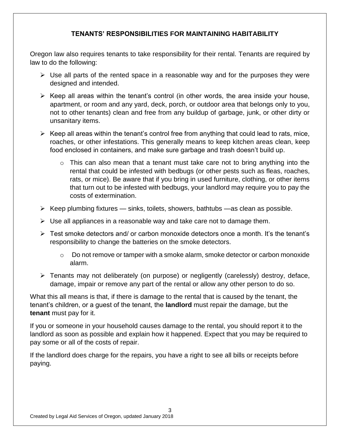#### **TENANTS' RESPONSIBILITIES FOR MAINTAINING HABITABILITY**

Oregon law also requires tenants to take responsibility for their rental. Tenants are required by law to do the following:

- $\triangleright$  Use all parts of the rented space in a reasonable way and for the purposes they were designed and intended.
- $\triangleright$  Keep all areas within the tenant's control (in other words, the area inside your house, apartment, or room and any yard, deck, porch, or outdoor area that belongs only to you, not to other tenants) clean and free from any buildup of garbage, junk, or other dirty or unsanitary items.
- $\triangleright$  Keep all areas within the tenant's control free from anything that could lead to rats, mice, roaches, or other infestations. This generally means to keep kitchen areas clean, keep food enclosed in containers, and make sure garbage and trash doesn't build up.
	- $\circ$  This can also mean that a tenant must take care not to bring anything into the rental that could be infested with bedbugs (or other pests such as fleas, roaches, rats, or mice). Be aware that if you bring in used furniture, clothing, or other items that turn out to be infested with bedbugs, your landlord may require you to pay the costs of extermination.
- $\triangleright$  Keep plumbing fixtures sinks, toilets, showers, bathtubs —as clean as possible.
- $\triangleright$  Use all appliances in a reasonable way and take care not to damage them.
- $\triangleright$  Test smoke detectors and/ or carbon monoxide detectors once a month. It's the tenant's responsibility to change the batteries on the smoke detectors.
	- $\circ$  Do not remove or tamper with a smoke alarm, smoke detector or carbon monoxide alarm.
- $\triangleright$  Tenants may not deliberately (on purpose) or negligently (carelessly) destroy, deface, damage, impair or remove any part of the rental or allow any other person to do so.

What this all means is that, if there is damage to the rental that is caused by the tenant, the tenant's children, or a guest of the tenant, the **landlord** must repair the damage, but the **tenant** must pay for it.

If you or someone in your household causes damage to the rental, you should report it to the landlord as soon as possible and explain how it happened. Expect that you may be required to pay some or all of the costs of repair.

If the landlord does charge for the repairs, you have a right to see all bills or receipts before paying.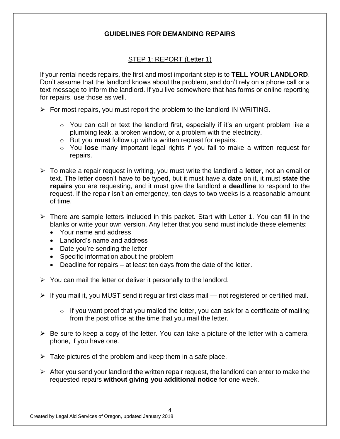#### **GUIDELINES FOR DEMANDING REPAIRS**

#### STEP 1: REPORT (Letter 1)

If your rental needs repairs, the first and most important step is to **TELL YOUR LANDLORD**. Don't assume that the landlord knows about the problem, and don't rely on a phone call or a text message to inform the landlord. If you live somewhere that has forms or online reporting for repairs, use those as well.

- $\triangleright$  For most repairs, you must report the problem to the landlord IN WRITING.
	- o You can call or text the landlord first, especially if it's an urgent problem like a plumbing leak, a broken window, or a problem with the electricity.
	- o But you **must** follow up with a written request for repairs.
	- o You **lose** many important legal rights if you fail to make a written request for repairs.
- To make a repair request in writing, you must write the landlord a **letter**, not an email or text. The letter doesn't have to be typed, but it must have a **date** on it, it must **state the repairs** you are requesting, and it must give the landlord a **deadline** to respond to the request. If the repair isn't an emergency, ten days to two weeks is a reasonable amount of time.
- $\triangleright$  There are sample letters included in this packet. Start with Letter 1. You can fill in the blanks or write your own version. Any letter that you send must include these elements:
	- Your name and address
	- Landlord's name and address
	- Date you're sending the letter
	- Specific information about the problem
	- Deadline for repairs at least ten days from the date of the letter.
- $\triangleright$  You can mail the letter or deliver it personally to the landlord.
- $\triangleright$  If you mail it, you MUST send it regular first class mail not registered or certified mail.
	- $\circ$  If you want proof that you mailed the letter, you can ask for a certificate of mailing from the post office at the time that you mail the letter.
- $\triangleright$  Be sure to keep a copy of the letter. You can take a picture of the letter with a cameraphone, if you have one.
- $\triangleright$  Take pictures of the problem and keep them in a safe place.
- $\triangleright$  After you send your landlord the written repair request, the landlord can enter to make the requested repairs **without giving you additional notice** for one week.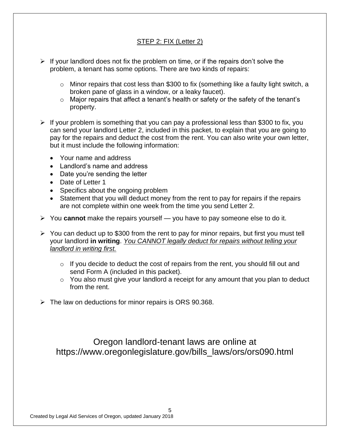#### STEP 2: FIX (Letter 2)

- $\triangleright$  If your landlord does not fix the problem on time, or if the repairs don't solve the problem, a tenant has some options. There are two kinds of repairs:
	- $\circ$  Minor repairs that cost less than \$300 to fix (something like a faulty light switch, a broken pane of glass in a window, or a leaky faucet).
	- $\circ$  Major repairs that affect a tenant's health or safety or the safety of the tenant's property.
- $\triangleright$  If your problem is something that you can pay a professional less than \$300 to fix, you can send your landlord Letter 2, included in this packet, to explain that you are going to pay for the repairs and deduct the cost from the rent. You can also write your own letter, but it must include the following information:
	- Your name and address
	- Landlord's name and address
	- Date you're sending the letter
	- Date of Letter 1
	- Specifics about the ongoing problem
	- Statement that you will deduct money from the rent to pay for repairs if the repairs are not complete within one week from the time you send Letter 2.
- You **cannot** make the repairs yourself you have to pay someone else to do it.
- $\triangleright$  You can deduct up to \$300 from the rent to pay for minor repairs, but first you must tell your landlord **in writing**. *You CANNOT legally deduct for repairs without telling your landlord in writing first.*
	- $\circ$  If you decide to deduct the cost of repairs from the rent, you should fill out and send Form A (included in this packet).
	- $\circ$  You also must give your landlord a receipt for any amount that you plan to deduct from the rent.
- $\triangleright$  The law on deductions for minor repairs is ORS 90.368.

Oregon landlord-tenant laws are online at https://www.oregonlegislature.gov/bills\_laws/ors/ors090.html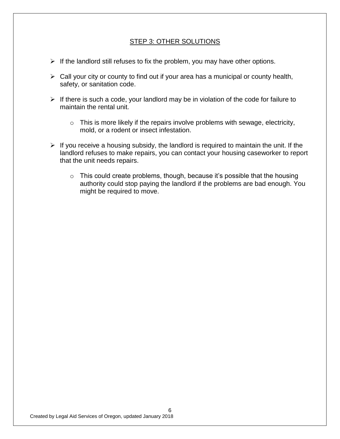#### STEP 3: OTHER SOLUTIONS

- $\triangleright$  If the landlord still refuses to fix the problem, you may have other options.
- $\triangleright$  Call your city or county to find out if your area has a municipal or county health, safety, or sanitation code.
- $\triangleright$  If there is such a code, your landlord may be in violation of the code for failure to maintain the rental unit.
	- $\circ$  This is more likely if the repairs involve problems with sewage, electricity, mold, or a rodent or insect infestation.
- $\triangleright$  If you receive a housing subsidy, the landlord is required to maintain the unit. If the landlord refuses to make repairs, you can contact your housing caseworker to report that the unit needs repairs.
	- $\circ$  This could create problems, though, because it's possible that the housing authority could stop paying the landlord if the problems are bad enough. You might be required to move.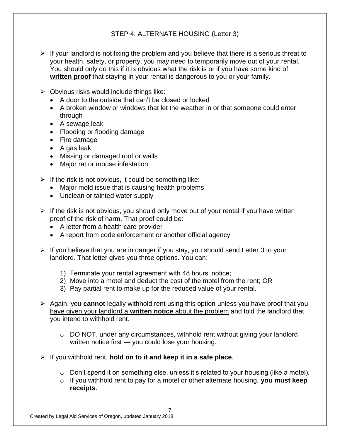#### STEP 4: ALTERNATE HOUSING (Letter 3)

- $\triangleright$  If your landlord is not fixing the problem and you believe that there is a serious threat to your health, safety, or property, you may need to temporarily move out of your rental. You should only do this if it is obvious what the risk is or if you have some kind of **written proof** that staying in your rental is dangerous to you or your family.
- $\triangleright$  Obvious risks would include things like:
	- A door to the outside that can't be closed or locked
	- A broken window or windows that let the weather in or that someone could enter through
	- A sewage leak
	- Flooding or flooding damage
	- Fire damage
	- A gas leak
	- Missing or damaged roof or walls
	- Major rat or mouse infestation
- $\triangleright$  If the risk is not obvious, it could be something like:
	- Major mold issue that is causing health problems
	- Unclean or tainted water supply
- $\triangleright$  If the risk is not obvious, you should only move out of your rental if you have written proof of the risk of harm. That proof could be:
	- A letter from a health care provider
	- A report from code enforcement or another official agency
- $\triangleright$  If you believe that you are in danger if you stay, you should send Letter 3 to your landlord. That letter gives you three options. You can:
	- 1) Terminate your rental agreement with 48 hours' notice;
	- 2) Move into a motel and deduct the cost of the motel from the rent; OR
	- 3) Pay partial rent to make up for the reduced value of your rental.
- Again, you **cannot** legally withhold rent using this option unless you have proof that you have given your landlord a **written notice** about the problem and told the landlord that you intend to withhold rent.
	- $\circ$  DO NOT, under any circumstances, withhold rent without giving your landlord written notice first — you could lose your housing.
- If you withhold rent, **hold on to it and keep it in a safe place**.
	- o Don't spend it on something else, unless it's related to your housing (like a motel).
	- o If you withhold rent to pay for a motel or other alternate housing, **you must keep receipts**.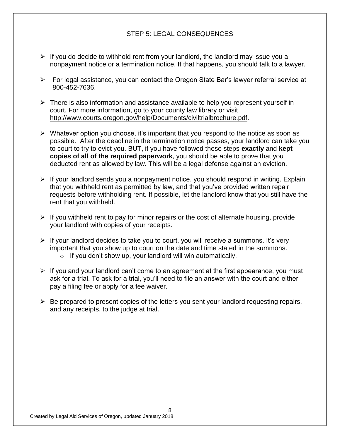#### STEP 5: LEGAL CONSEQUENCES

- $\triangleright$  If you do decide to withhold rent from your landlord, the landlord may issue you a nonpayment notice or a termination notice. If that happens, you should talk to a lawyer.
- $\triangleright$  For legal assistance, you can contact the Oregon State Bar's lawyer referral service at 800-452-7636.
- $\triangleright$  There is also information and assistance available to help you represent yourself in court. For more information, go to your county law library or visit http://www.courts.oregon.gov/help/Documents/civiltrialbrochure.pdf.
- $\triangleright$  Whatever option you choose, it's important that you respond to the notice as soon as possible. After the deadline in the termination notice passes, your landlord can take you to court to try to evict you. BUT, if you have followed these steps **exactly** and **kept copies of all of the required paperwork**, you should be able to prove that you deducted rent as allowed by law. This will be a legal defense against an eviction.
- $\triangleright$  If your landlord sends you a nonpayment notice, you should respond in writing. Explain that you withheld rent as permitted by law, and that you've provided written repair requests before withholding rent. If possible, let the landlord know that you still have the rent that you withheld.
- $\triangleright$  If you withheld rent to pay for minor repairs or the cost of alternate housing, provide your landlord with copies of your receipts.
- $\triangleright$  If your landlord decides to take you to court, you will receive a summons. It's very important that you show up to court on the date and time stated in the summons.  $\circ$  If you don't show up, your landlord will win automatically.
- $\triangleright$  If you and your landlord can't come to an agreement at the first appearance, you must ask for a trial. To ask for a trial, you'll need to file an answer with the court and either pay a filing fee or apply for a fee waiver.
- $\triangleright$  Be prepared to present copies of the letters you sent your landlord requesting repairs, and any receipts, to the judge at trial.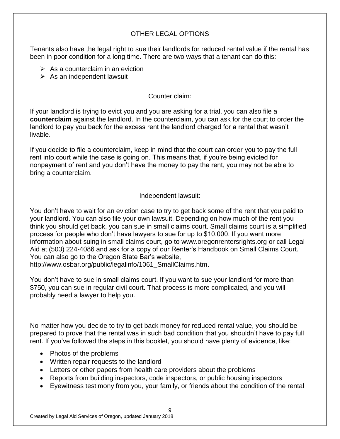#### OTHER LEGAL OPTIONS

Tenants also have the legal right to sue their landlords for reduced rental value if the rental has been in poor condition for a long time. There are two ways that a tenant can do this:

- $\triangleright$  As a counterclaim in an eviction
- $\triangleright$  As an independent lawsuit

#### Counter claim:

If your landlord is trying to evict you and you are asking for a trial, you can also file a **counterclaim** against the landlord. In the counterclaim, you can ask for the court to order the landlord to pay you back for the excess rent the landlord charged for a rental that wasn't livable.

If you decide to file a counterclaim, keep in mind that the court can order you to pay the full rent into court while the case is going on. This means that, if you're being evicted for nonpayment of rent and you don't have the money to pay the rent, you may not be able to bring a counterclaim.

#### Independent lawsuit:

You don't have to wait for an eviction case to try to get back some of the rent that you paid to your landlord. You can also file your own lawsuit. Depending on how much of the rent you think you should get back, you can sue in small claims court. Small claims court is a simplified process for people who don't have lawyers to sue for up to \$10,000. If you want more information about suing in small claims court, go to www.oregonrentersrights.org or call Legal Aid at (503) 224-4086 and ask for a copy of our Renter's Handbook on Small Claims Court. You can also go to the Oregon State Bar's website,

http://www.osbar.org/public/legalinfo/1061\_SmallClaims.htm.

You don't have to sue in small claims court. If you want to sue your landlord for more than \$750, you can sue in regular civil court. That process is more complicated, and you will probably need a lawyer to help you.

No matter how you decide to try to get back money for reduced rental value, you should be prepared to prove that the rental was in such bad condition that you shouldn't have to pay full rent. If you've followed the steps in this booklet, you should have plenty of evidence, like:

- Photos of the problems
- Written repair requests to the landlord
- Letters or other papers from health care providers about the problems
- Reports from building inspectors, code inspectors, or public housing inspectors
- Eyewitness testimony from you, your family, or friends about the condition of the rental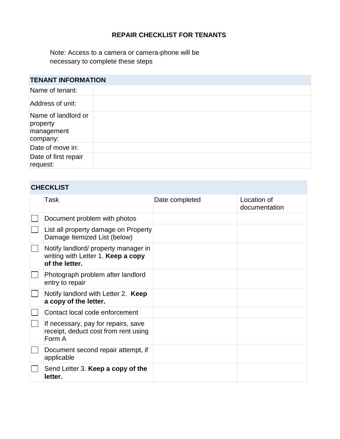## **REPAIR CHECKLIST FOR TENANTS**

Note: Access to a camera or camera-phone will be necessary to complete these steps

| <b>TENANT INFORMATION</b>                                 |  |  |
|-----------------------------------------------------------|--|--|
| Name of tenant:                                           |  |  |
| Address of unit:                                          |  |  |
| Name of landlord or<br>property<br>management<br>company: |  |  |
| Date of move in:                                          |  |  |
| Date of first repair<br>request:                          |  |  |

| <b>CHECKLIST</b> |                                                                                              |                |                              |  |
|------------------|----------------------------------------------------------------------------------------------|----------------|------------------------------|--|
|                  | Task                                                                                         | Date completed | Location of<br>documentation |  |
|                  | Document problem with photos                                                                 |                |                              |  |
|                  | List all property damage on Property<br>Damage Itemized List (below)                         |                |                              |  |
|                  | Notify landlord/ property manager in<br>writing with Letter 1. Keep a copy<br>of the letter. |                |                              |  |
|                  | Photograph problem after landlord<br>entry to repair                                         |                |                              |  |
|                  | Notify landlord with Letter 2. Keep<br>a copy of the letter.                                 |                |                              |  |
|                  | Contact local code enforcement                                                               |                |                              |  |
|                  | If necessary, pay for repairs, save<br>receipt, deduct cost from rent using<br>Form A        |                |                              |  |
|                  | Document second repair attempt, if<br>applicable                                             |                |                              |  |
|                  | Send Letter 3. Keep a copy of the<br>letter.                                                 |                |                              |  |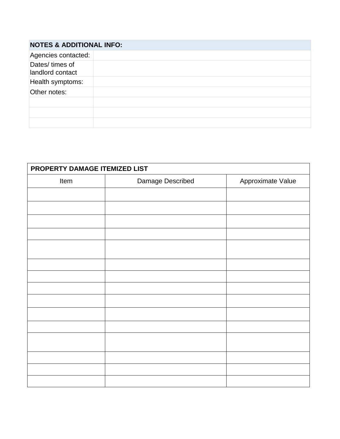| <b>NOTES &amp; ADDITIONAL INFO:</b> |  |  |  |  |
|-------------------------------------|--|--|--|--|
| Agencies contacted:                 |  |  |  |  |
| Dates/ times of<br>landlord contact |  |  |  |  |
| Health symptoms:                    |  |  |  |  |
| Other notes:                        |  |  |  |  |
|                                     |  |  |  |  |
|                                     |  |  |  |  |
|                                     |  |  |  |  |

| PROPERTY DAMAGE ITEMIZED LIST |                  |                   |  |
|-------------------------------|------------------|-------------------|--|
| Item                          | Damage Described | Approximate Value |  |
|                               |                  |                   |  |
|                               |                  |                   |  |
|                               |                  |                   |  |
|                               |                  |                   |  |
|                               |                  |                   |  |
|                               |                  |                   |  |
|                               |                  |                   |  |
|                               |                  |                   |  |
|                               |                  |                   |  |
|                               |                  |                   |  |
|                               |                  |                   |  |
|                               |                  |                   |  |
|                               |                  |                   |  |
|                               |                  |                   |  |
|                               |                  |                   |  |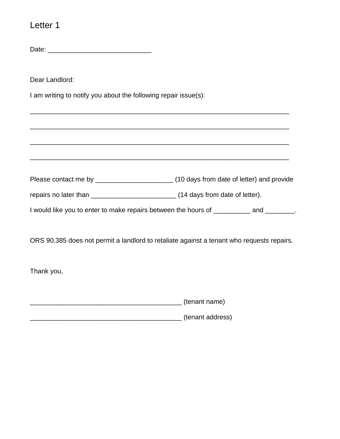# Letter 1

| Dear Landlord:                                                                                |  |  |  |
|-----------------------------------------------------------------------------------------------|--|--|--|
| I am writing to notify you about the following repair issue(s):                               |  |  |  |
|                                                                                               |  |  |  |
|                                                                                               |  |  |  |
|                                                                                               |  |  |  |
| Please contact me by _______________________________(10 days from date of letter) and provide |  |  |  |
|                                                                                               |  |  |  |
| I would like you to enter to make repairs between the hours of ___________ and ________.      |  |  |  |
|                                                                                               |  |  |  |
| ORS 90.385 does not permit a landlord to retaliate against a tenant who requests repairs.     |  |  |  |
| Thank you,                                                                                    |  |  |  |
|                                                                                               |  |  |  |

\_\_\_\_\_\_\_\_\_\_\_\_\_\_\_\_\_\_\_\_\_\_\_\_\_\_\_\_\_\_\_\_\_\_\_\_\_\_\_\_\_ (tenant name)

\_\_\_\_\_\_\_\_\_\_\_\_\_\_\_\_\_\_\_\_\_\_\_\_\_\_\_\_\_\_\_\_\_\_\_\_\_\_\_\_\_ (tenant address)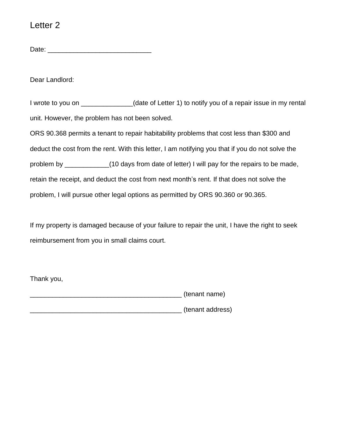# Letter 2

Date: \_\_\_\_\_\_\_\_\_\_\_\_\_\_\_\_\_\_\_\_\_\_\_\_\_\_\_\_

Dear Landlord:

I wrote to you on \_\_\_\_\_\_\_\_\_\_\_\_(date of Letter 1) to notify you of a repair issue in my rental unit. However, the problem has not been solved.

ORS 90.368 permits a tenant to repair habitability problems that cost less than \$300 and deduct the cost from the rent. With this letter, I am notifying you that if you do not solve the problem by \_\_\_\_\_\_\_\_\_\_\_\_(10 days from date of letter) I will pay for the repairs to be made, retain the receipt, and deduct the cost from next month's rent. If that does not solve the problem, I will pursue other legal options as permitted by ORS 90.360 or 90.365.

If my property is damaged because of your failure to repair the unit, I have the right to seek reimbursement from you in small claims court.

Thank you,

\_\_\_\_\_\_\_\_\_\_\_\_\_\_\_\_\_\_\_\_\_\_\_\_\_\_\_\_\_\_\_\_\_\_\_\_\_\_\_\_\_ (tenant name)

\_\_\_\_\_\_\_\_\_\_\_\_\_\_\_\_\_\_\_\_\_\_\_\_\_\_\_\_\_\_\_\_\_\_\_\_\_\_\_\_\_ (tenant address)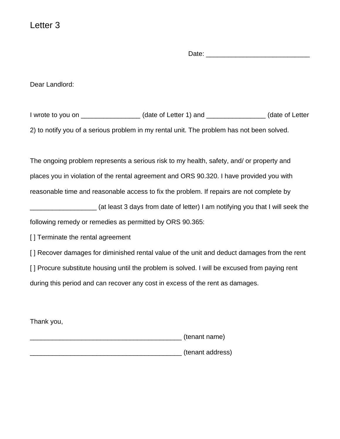# Letter 3

Date: \_\_\_\_\_\_\_\_\_\_\_\_\_\_\_\_\_\_\_\_\_\_\_\_\_\_\_\_

Dear Landlord:

I wrote to you on \_\_\_\_\_\_\_\_\_\_\_\_\_\_\_\_ (date of Letter 1) and \_\_\_\_\_\_\_\_\_\_\_\_\_\_\_\_ (date of Letter 2) to notify you of a serious problem in my rental unit. The problem has not been solved.

The ongoing problem represents a serious risk to my health, safety, and/ or property and places you in violation of the rental agreement and ORS 90.320. I have provided you with reasonable time and reasonable access to fix the problem. If repairs are not complete by

\_\_\_\_\_\_\_\_\_\_\_\_\_\_\_\_\_\_ (at least 3 days from date of letter) I am notifying you that I will seek the

following remedy or remedies as permitted by ORS 90.365:

[ ] Terminate the rental agreement

[] Recover damages for diminished rental value of the unit and deduct damages from the rent

[] Procure substitute housing until the problem is solved. I will be excused from paying rent

during this period and can recover any cost in excess of the rent as damages.

Thank you,

\_\_\_\_\_\_\_\_\_\_\_\_\_\_\_\_\_\_\_\_\_\_\_\_\_\_\_\_\_\_\_\_\_\_\_\_\_\_\_\_\_ (tenant name)

\_\_\_\_\_\_\_\_\_\_\_\_\_\_\_\_\_\_\_\_\_\_\_\_\_\_\_\_\_\_\_\_\_\_\_\_\_\_\_\_\_ (tenant address)